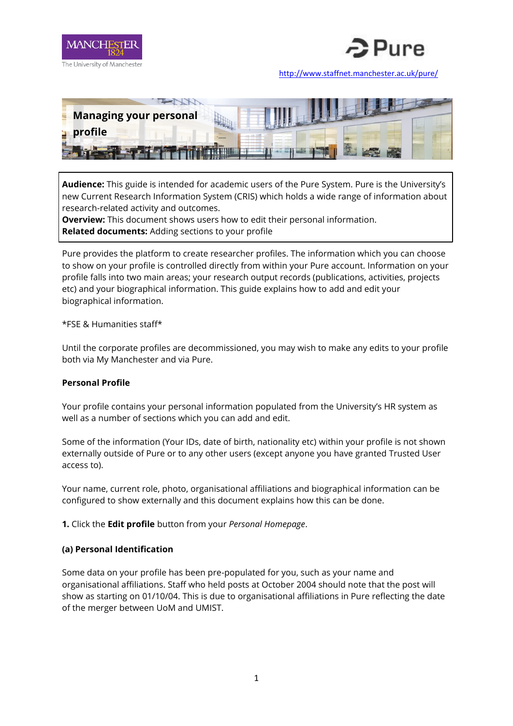



<http://www.staffnet.manchester.ac.uk/pure/>



**Audience:** This guide is intended for academic users of the Pure System. Pure is the University's new Current Research Information System (CRIS) which holds a wide range of information about research-related activity and outcomes.

**Overview:** This document shows users how to edit their personal information. **Related documents:** Adding sections to your profile

Pure provides the platform to create researcher profiles. The information which you can choose to show on your profile is controlled directly from within your Pure account. Information on your profile falls into two main areas; your research output records (publications, activities, projects etc) and your biographical information. This guide explains how to add and edit your biographical information.

### \*FSE & Humanities staff\*

Until the corporate profiles are decommissioned, you may wish to make any edits to your profile both via My Manchester and via Pure.

### **Personal Profile**

Your profile contains your personal information populated from the University's HR system as well as a number of sections which you can add and edit.

Some of the information (Your IDs, date of birth, nationality etc) within your profile is not shown externally outside of Pure or to any other users (except anyone you have granted Trusted User access to).

Your name, current role, photo, organisational affiliations and biographical information can be configured to show externally and this document explains how this can be done.

**1.** Click the **Edit profile** button from your *Personal Homepage*.

### **(a) Personal Identification**

Some data on your profile has been pre-populated for you, such as your name and organisational affiliations. Staff who held posts at October 2004 should note that the post will show as starting on 01/10/04. This is due to organisational affiliations in Pure reflecting the date of the merger between UoM and UMIST.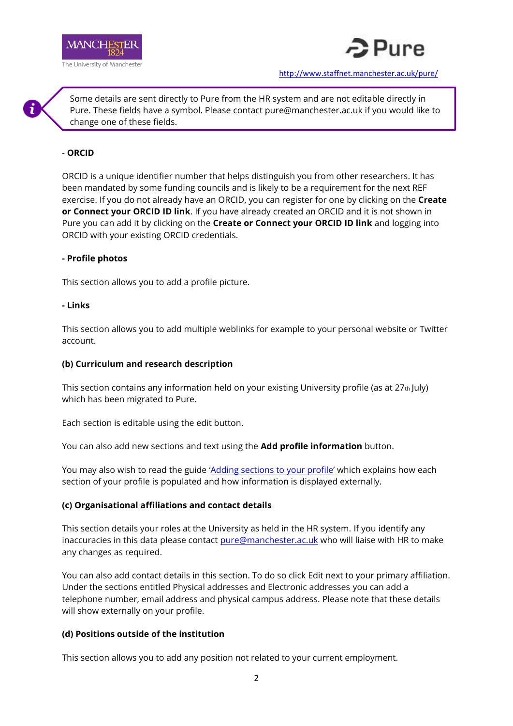



Some details are sent directly to Pure from the HR system and are not editable directly in Pure. These fields have a symbol. Please contact pure@manchester.ac.uk if you would like to change one of these fields.

## - **ORCID**

ORCID is a unique identifier number that helps distinguish you from other researchers. It has been mandated by some funding councils and is likely to be a requirement for the next REF exercise. If you do not already have an ORCID, you can register for one by clicking on the **Create or Connect your ORCID ID link**. If you have already created an ORCID and it is not shown in Pure you can add it by clicking on the **Create or Connect your ORCID ID link** and logging into ORCID with your existing ORCID credentials.

### **- Profile photos**

This section allows you to add a profile picture.

### **- Links**

This section allows you to add multiple weblinks for example to your personal website or Twitter account.

### **(b) Curriculum and research description**

This section contains any information held on your existing University profile (as at  $27<sub>th</sub> |uly$ ) which has been migrated to Pure.

Each section is editable using the edit button.

You can also add new sections and text using the **Add profile information** button.

You may also wish to read the guide '[Adding sections to your profile](http://documents.manchester.ac.uk/DocuInfo.aspx?DocID=30425)' which explains how each section of your profile is populated and how information is displayed externally.

## **(c) Organisational affiliations and contact details**

This section details your roles at the University as held in the HR system. If you identify any inaccuracies in this data please contact [pure@manchester.ac.uk](mailto:pure@manchester.ac.uk) who will liaise with HR to make any changes as required.

You can also add contact details in this section. To do so click Edit next to your primary affiliation. Under the sections entitled Physical addresses and Electronic addresses you can add a telephone number, email address and physical campus address. Please note that these details will show externally on your profile.

## **(d) Positions outside of the institution**

This section allows you to add any position not related to your current employment.